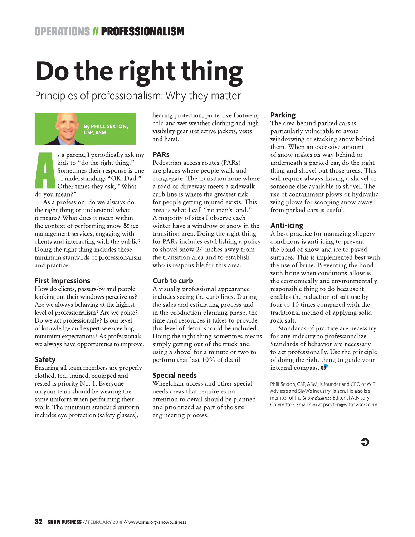# Do the right thing

Principles of professionalism: Why they matter



s a parent, I periodically ask my kids to "do the right thing." Sometimes their response is one of understanding: "OK, Dad." Other times they ask, "What do you mean?"

As a profession, do we always do the right thing or understand what it means? What does it mean within the context of performing snow & ice management services, engaging with clients and interacting with the public? Doing the right thing includes these minimum standards of professionalism and practice.

#### **First impressions**

How do clients, passers-by and people looking out their windows perceive us? Are we always behaving at the highest level of professionalism? Are we polite? Do we act professionally? Is our level of knowledge and expertise exceeding minimum expectations? As professionals we always have opportunities to improve.

#### **Safety**

Ensuring all team members are properly clothed, fed, trained, equipped and rested is priority No. 1. Everyone on your team should be wearing the same uniform when performing their work. The minimum standard uniform includes eye protection (safety glasses),

hearing protection, protective footwear, cold and wet weather clothing and highvisibility gear (reflective jackets, vests and hats).

#### **PARs**

Pedestrian access routes (PARs) are places where people walk and congregate. The transition zone where a road or driveway meets a sidewalk curb line is where the greatest risk for people getting injured exists. This area is what I call "no man's land." A majority of sites I observe each winter have a windrow of snow in the transition area. Doing the right thing for PARs includes establishing a policy to shovel snow 24 inches away from the transition area and to establish who is responsible for this area.

#### Curb to curb

A visually professional appearance includes seeing the curb lines. During the sales and estimating process and in the production planning phase, the time and resources it takes to provide this level of detail should be included. Doing the right thing sometimes means simply getting out of the truck and using a shovel for a minute or two to perform that last 10% of detail.

#### **Special needs**

Wheelchair access and other special needs areas that require extra attention to detail should be planned and prioritized as part of the site engineering process.

#### Parking

The area behind parked cars is particularly vulnerable to avoid windrowing or stacking snow behind them. When an excessive amount of snow makes its way behind or underneath a parked car, do the right thing and shovel out those areas. This will require always having a shovel or someone else available to shovel. The use of containment plows or hydraulic wing plows for scooping snow away from parked cars is useful.

#### Anti-icing

A best practice for managing slippery conditions is anti-icing to prevent the bond of snow and ice to paved surfaces. This is implemented best with the use of brine. Preventing the bond with brine when conditions allow is the economically and environmentally responsible thing to do because it enables the reduction of salt use by four to 10 times compared with the traditional method of applying solid rock salt.

Standards of practice are necessary for any industry to professionalize. Standards of behavior are necessary to act professionally. Use the principle of doing the right thing to guide your internal compass. SB

Phill Sexton, CSP, ASM, is founder and CEO of WIT Advisers and SIMA's industry liaison. He also is a member of the Snow Business Editorial Advisory Committee. Email him at psexton@witadvisers.com.

Ð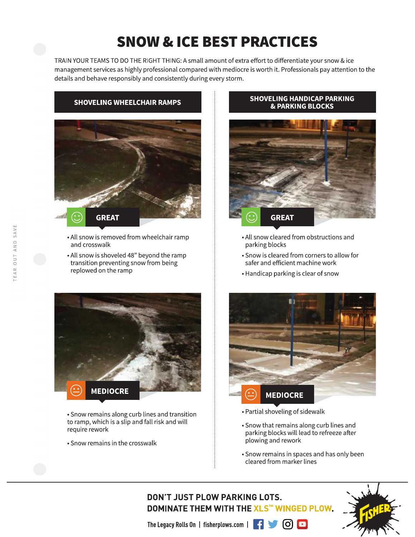# **SNOW & ICE BEST PRACTICES**

TRAIN YOUR TEAMS TO DO THE RIGHT THING: A small amount of extra effort to differentiate your snow & ice management services as highly professional compared with mediocre is worth it. Professionals pay attention to the details and behave responsibly and consistently during every storm.

### **SHOVELING WHEELCHAIR RAMPS**



- All snow is removed from wheelchair ramp and crosswalk
- . All snow is shoveled 48" beyond the ramp transition preventing snow from being replowed on the ramp



• Snow remains along curb lines and transition to ramp, which is a slip and fall risk and will require rework

• Snow remains in the crosswalk

#### **SHOVELING HANDICAP PARKING & PARKING BLOCKS**



- All snow cleared from obstructions and parking blocks
- Snow is cleared from corners to allow for safer and efficient machine work
- Handicap parking is clear of snow



- Partial shoveling of sidewalk
- Snow that remains along curb lines and parking blocks will lead to refreeze after plowing and rework
- Snow remains in spaces and has only been cleared from marker lines